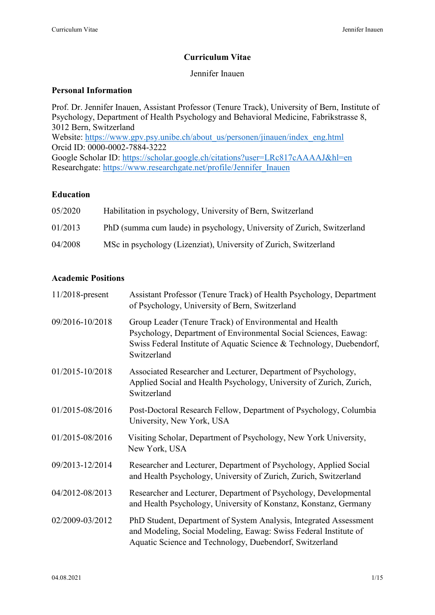# **Curriculum Vitae**

# Jennifer Inauen

### **Personal Information**

Prof. Dr. Jennifer Inauen, Assistant Professor (Tenure Track), University of Bern, Institute of Psychology, Department of Health Psychology and Behavioral Medicine, Fabrikstrasse 8, 3012 Bern, Switzerland Website: [https://www.gpv.psy.unibe.ch/about\\_us/personen/jinauen/index\\_eng.html](https://www.gpv.psy.unibe.ch/about_us/personen/jinauen/index_eng.html) Orcid ID: 0000-0002-7884-3222 Google Scholar ID:<https://scholar.google.ch/citations?user=LRc817cAAAAJ&hl=en> Researchgate: [https://www.researchgate.net/profile/Jennifer\\_Inauen](https://www.researchgate.net/profile/Jennifer_Inauen)

### **Education**

| 05/2020 | Habilitation in psychology, University of Bern, Switzerland            |
|---------|------------------------------------------------------------------------|
| 01/2013 | PhD (summa cum laude) in psychology, University of Zurich, Switzerland |
| 04/2008 | MSc in psychology (Lizenziat), University of Zurich, Switzerland       |

# **Academic Positions**

| $11/2018$ -present | Assistant Professor (Tenure Track) of Health Psychology, Department<br>of Psychology, University of Bern, Switzerland                                                                                             |
|--------------------|-------------------------------------------------------------------------------------------------------------------------------------------------------------------------------------------------------------------|
| 09/2016-10/2018    | Group Leader (Tenure Track) of Environmental and Health<br>Psychology, Department of Environmental Social Sciences, Eawag:<br>Swiss Federal Institute of Aquatic Science & Technology, Duebendorf,<br>Switzerland |
| 01/2015-10/2018    | Associated Researcher and Lecturer, Department of Psychology,<br>Applied Social and Health Psychology, University of Zurich, Zurich,<br>Switzerland                                                               |
| 01/2015-08/2016    | Post-Doctoral Research Fellow, Department of Psychology, Columbia<br>University, New York, USA                                                                                                                    |
| 01/2015-08/2016    | Visiting Scholar, Department of Psychology, New York University,<br>New York, USA                                                                                                                                 |
| 09/2013-12/2014    | Researcher and Lecturer, Department of Psychology, Applied Social<br>and Health Psychology, University of Zurich, Zurich, Switzerland                                                                             |
| 04/2012-08/2013    | Researcher and Lecturer, Department of Psychology, Developmental<br>and Health Psychology, University of Konstanz, Konstanz, Germany                                                                              |
| 02/2009-03/2012    | PhD Student, Department of System Analysis, Integrated Assessment<br>and Modeling, Social Modeling, Eawag: Swiss Federal Institute of<br>Aquatic Science and Technology, Duebendorf, Switzerland                  |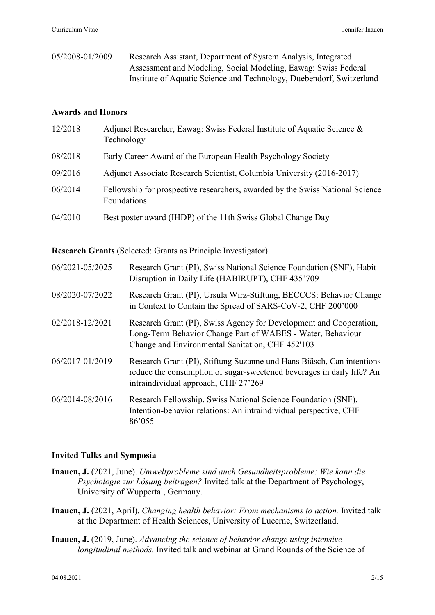05/2008-01/2009 Research Assistant, Department of System Analysis, Integrated Assessment and Modeling, Social Modeling, Eawag: Swiss Federal Institute of Aquatic Science and Technology, Duebendorf, Switzerland

## **Awards and Honors**

| 12/2018 | Adjunct Researcher, Eawag: Swiss Federal Institute of Aquatic Science &<br>Technology        |
|---------|----------------------------------------------------------------------------------------------|
| 08/2018 | Early Career Award of the European Health Psychology Society                                 |
| 09/2016 | Adjunct Associate Research Scientist, Columbia University (2016-2017)                        |
| 06/2014 | Fellowship for prospective researchers, awarded by the Swiss National Science<br>Foundations |
| 04/2010 | Best poster award (IHDP) of the 11th Swiss Global Change Day                                 |

**Research Grants** (Selected: Grants as Principle Investigator)

| 06/2021-05/2025 | Research Grant (PI), Swiss National Science Foundation (SNF), Habit<br>Disruption in Daily Life (HABIRUPT), CHF 435'709                                                                |
|-----------------|----------------------------------------------------------------------------------------------------------------------------------------------------------------------------------------|
| 08/2020-07/2022 | Research Grant (PI), Ursula Wirz-Stiftung, BECCCS: Behavior Change<br>in Context to Contain the Spread of SARS-CoV-2, CHF 200'000                                                      |
| 02/2018-12/2021 | Research Grant (PI), Swiss Agency for Development and Cooperation,<br>Long-Term Behavior Change Part of WABES - Water, Behaviour<br>Change and Environmental Sanitation, CHF 452'103   |
| 06/2017-01/2019 | Research Grant (PI), Stiftung Suzanne und Hans Biäsch, Can intentions<br>reduce the consumption of sugar-sweetened beverages in daily life? An<br>intraindividual approach, CHF 27'269 |
| 06/2014-08/2016 | Research Fellowship, Swiss National Science Foundation (SNF),<br>Intention-behavior relations: An intraindividual perspective, CHF<br>86'055                                           |

### **Invited Talks and Symposia**

- **Inauen, J.** (2021, June). *Umweltprobleme sind auch Gesundheitsprobleme: Wie kann die Psychologie zur Lösung beitragen?* Invited talk at the Department of Psychology, University of Wuppertal, Germany.
- **Inauen, J.** (2021, April). *Changing health behavior: From mechanisms to action.* Invited talk at the Department of Health Sciences, University of Lucerne, Switzerland.
- **Inauen, J.** (2019, June). *Advancing the science of behavior change using intensive longitudinal methods.* Invited talk and webinar at Grand Rounds of the Science of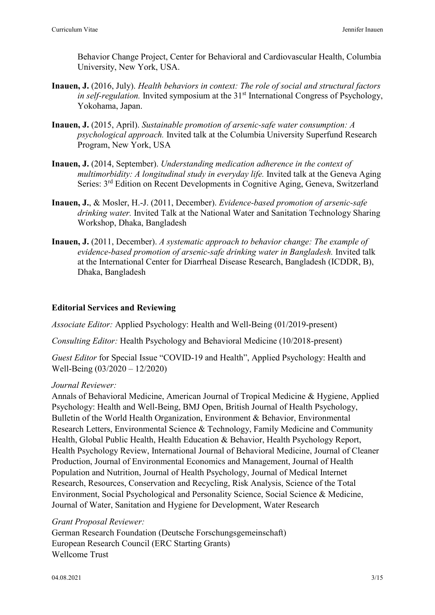Behavior Change Project, Center for Behavioral and Cardiovascular Health, Columbia University, New York, USA.

- **Inauen, J.** (2016, July). *Health behaviors in context: The role of social and structural factors in self-regulation.* Invited symposium at the 31<sup>st</sup> International Congress of Psychology, Yokohama, Japan.
- **Inauen, J.** (2015, April). *Sustainable promotion of arsenic-safe water consumption: A psychological approach.* Invited talk at the Columbia University Superfund Research Program, New York, USA
- **Inauen, J.** (2014, September). *Understanding medication adherence in the context of multimorbidity: A longitudinal study in everyday life.* Invited talk at the Geneva Aging Series: 3rd Edition on Recent Developments in Cognitive Aging, Geneva, Switzerland
- **Inauen, J.**, & Mosler, H.-J. (2011, December). *Evidence-based promotion of arsenic-safe drinking water.* Invited Talk at the National Water and Sanitation Technology Sharing Workshop, Dhaka, Bangladesh
- **Inauen, J.** (2011, December). *A systematic approach to behavior change: The example of evidence-based promotion of arsenic-safe drinking water in Bangladesh.* Invited talk at the International Center for Diarrheal Disease Research, Bangladesh (ICDDR, B), Dhaka, Bangladesh

# **Editorial Services and Reviewing**

*Associate Editor:* Applied Psychology: Health and Well-Being (01/2019-present)

*Consulting Editor:* Health Psychology and Behavioral Medicine (10/2018-present)

*Guest Editor* for Special Issue "COVID-19 and Health", Applied Psychology: Health and Well-Being (03/2020 – 12/2020)

### *Journal Reviewer:*

Annals of Behavioral Medicine, American Journal of Tropical Medicine & Hygiene, Applied Psychology: Health and Well-Being, BMJ Open, British Journal of Health Psychology, Bulletin of the World Health Organization, Environment & Behavior, Environmental Research Letters, Environmental Science & Technology, Family Medicine and Community Health, Global Public Health, Health Education & Behavior, Health Psychology Report, Health Psychology Review, International Journal of Behavioral Medicine, Journal of Cleaner Production, Journal of Environmental Economics and Management, Journal of Health Population and Nutrition, Journal of Health Psychology, Journal of Medical Internet Research, Resources, Conservation and Recycling, Risk Analysis, Science of the Total Environment, Social Psychological and Personality Science, Social Science & Medicine, Journal of Water, Sanitation and Hygiene for Development, Water Research

### *Grant Proposal Reviewer:*

German Research Foundation (Deutsche Forschungsgemeinschaft) European Research Council (ERC Starting Grants) Wellcome Trust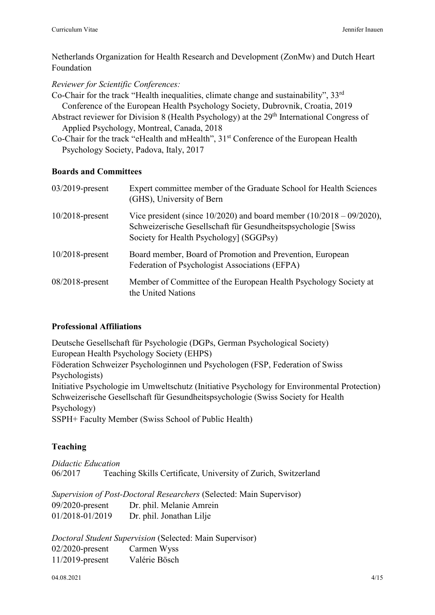Netherlands Organization for Health Research and Development (ZonMw) and Dutch Heart Foundation

*Reviewer for Scientific Conferences:*

Co-Chair for the track "Health inequalities, climate change and sustainability", 33rd Conference of the European Health Psychology Society, Dubrovnik, Croatia, 2019

Abstract reviewer for Division 8 (Health Psychology) at the 29<sup>th</sup> International Congress of Applied Psychology, Montreal, Canada, 2018

Co-Chair for the track "eHealth and mHealth", 31<sup>st</sup> Conference of the European Health Psychology Society, Padova, Italy, 2017

# **Boards and Committees**

| $03/2019$ -present | Expert committee member of the Graduate School for Health Sciences<br>(GHS), University of Bern                                                                                        |
|--------------------|----------------------------------------------------------------------------------------------------------------------------------------------------------------------------------------|
| $10/2018$ -present | Vice president (since $10/2020$ ) and board member $(10/2018 - 09/2020)$ ,<br>Schweizerische Gesellschaft für Gesundheitspsychologie [Swiss<br>Society for Health Psychology] (SGGPsy) |
| $10/2018$ -present | Board member, Board of Promotion and Prevention, European<br>Federation of Psychologist Associations (EFPA)                                                                            |
| $08/2018$ -present | Member of Committee of the European Health Psychology Society at<br>the United Nations                                                                                                 |

# **Professional Affiliations**

Deutsche Gesellschaft für Psychologie (DGPs, German Psychological Society) European Health Psychology Society (EHPS) Föderation Schweizer Psychologinnen und Psychologen (FSP, Federation of Swiss Psychologists) Initiative Psychologie im Umweltschutz (Initiative Psychology for Environmental Protection) Schweizerische Gesellschaft für Gesundheitspsychologie (Swiss Society for Health Psychology) SSPH+ Faculty Member (Swiss School of Public Health)

# **Teaching**

*Didactic Education* 06/2017 Teaching Skills Certificate, University of Zurich, Switzerland

*Supervision of Post-Doctoral Researchers* (Selected: Main Supervisor) 09/2020-present Dr. phil. Melanie Amrein 01/2018-01/2019 Dr. phil. Jonathan Lilje

*Doctoral Student Supervision* (Selected: Main Supervisor) 02/2020-present Carmen Wyss 11/2019-present Valérie Bösch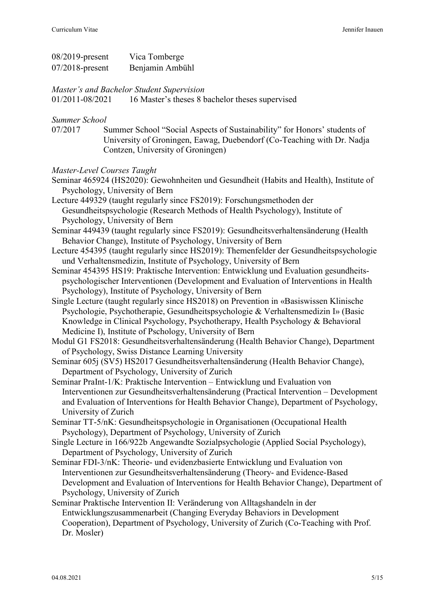| $08/2019$ -present | Vica Tomberge   |
|--------------------|-----------------|
| $07/2018$ -present | Benjamin Ambühl |

*Master's and Bachelor Student Supervision*

01/2011-08/2021 16 Master's theses 8 bachelor theses supervised

#### *Summer School*

07/2017 Summer School "Social Aspects of Sustainability" for Honors' students of University of Groningen, Eawag, Duebendorf (Co-Teaching with Dr. Nadja Contzen, University of Groningen)

#### *Master-Level Courses Taught*

Seminar 465924 (HS2020): Gewohnheiten und Gesundheit (Habits and Health), Institute of Psychology, University of Bern

Lecture 449329 (taught regularly since FS2019): Forschungsmethoden der Gesundheitspsychologie (Research Methods of Health Psychology), Institute of Psychology, University of Bern

- Seminar 449439 (taught regularly since FS2019): Gesundheitsverhaltensänderung (Health Behavior Change), Institute of Psychology, University of Bern
- Lecture 454395 (taught regularly since HS2019): Themenfelder der Gesundheitspsychologie und Verhaltensmedizin, Institute of Psychology, University of Bern
- Seminar 454395 HS19: Praktische Intervention: Entwicklung und Evaluation gesundheitspsychologischer Interventionen (Development and Evaluation of Interventions in Health Psychology), Institute of Psychology, University of Bern
- Single Lecture (taught regularly since HS2018) on Prevention in «Basiswissen Klinische Psychologie, Psychotherapie, Gesundheitspsychologie & Verhaltensmedizin I» (Basic Knowledge in Clinical Psychology, Psychotherapy, Health Psychology & Behavioral Medicine I), Institute of Pschology, University of Bern

Modul G1 FS2018: Gesundheitsverhaltensänderung (Health Behavior Change), Department of Psychology, Swiss Distance Learning University

Seminar 605j (SV5) HS2017 Gesundheitsverhaltensänderung (Health Behavior Change), Department of Psychology, University of Zurich

- Seminar PraInt-1/K: Praktische Intervention Entwicklung und Evaluation von Interventionen zur Gesundheitsverhaltensänderung (Practical Intervention – Development and Evaluation of Interventions for Health Behavior Change), Department of Psychology, University of Zurich
- Seminar TT-5/nK: Gesundheitspsychologie in Organisationen (Occupational Health Psychology), Department of Psychology, University of Zurich
- Single Lecture in 166/922b Angewandte Sozialpsychologie (Applied Social Psychology), Department of Psychology, University of Zurich
- Seminar FDI-3/nK: Theorie- und evidenzbasierte Entwicklung und Evaluation von Interventionen zur Gesundheitsverhaltensänderung (Theory- and Evidence-Based Development and Evaluation of Interventions for Health Behavior Change), Department of Psychology, University of Zurich
- Seminar Praktische Intervention II: Veränderung von Alltagshandeln in der Entwicklungszusammenarbeit (Changing Everyday Behaviors in Development Cooperation), Department of Psychology, University of Zurich (Co-Teaching with Prof. Dr. Mosler)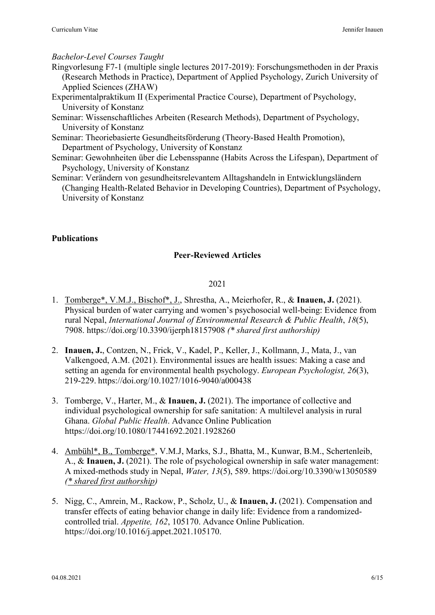### *Bachelor-Level Courses Taught*

- Ringvorlesung F7-1 (multiple single lectures 2017-2019): Forschungsmethoden in der Praxis (Research Methods in Practice), Department of Applied Psychology, Zurich University of Applied Sciences (ZHAW)
- Experimentalpraktikum II (Experimental Practice Course), Department of Psychology, University of Konstanz
- Seminar: Wissenschaftliches Arbeiten (Research Methods), Department of Psychology, University of Konstanz
- Seminar: Theoriebasierte Gesundheitsförderung (Theory-Based Health Promotion), Department of Psychology, University of Konstanz
- Seminar: Gewohnheiten über die Lebensspanne (Habits Across the Lifespan), Department of Psychology, University of Konstanz
- Seminar: Verändern von gesundheitsrelevantem Alltagshandeln in Entwicklungsländern (Changing Health-Related Behavior in Developing Countries), Department of Psychology, University of Konstanz

# **Publications**

### **Peer-Reviewed Articles**

#### 2021

- 1. Tomberge\*, V.M.J., Bischof\*, J., Shrestha, A., Meierhofer, R., & **Inauen, J.** (2021). Physical burden of water carrying and women's psychosocial well-being: Evidence from rural Nepal, *International Journal of Environmental Research & Public Health*, *18*(5), 7908. https://doi.org/10.3390/ijerph18157908 *(\* shared first authorship)*
- 2. **Inauen, J.**, Contzen, N., Frick, V., Kadel, P., Keller, J., Kollmann, J., Mata, J., van Valkengoed, A.M. (2021). Environmental issues are health issues: Making a case and setting an agenda for environmental health psychology. *European Psychologist, 26*(3), 219-229. https://doi.org/10.1027/1016-9040/a000438
- 3. Tomberge, V., Harter, M., & **Inauen, J.** (2021). The importance of collective and individual psychological ownership for safe sanitation: A multilevel analysis in rural Ghana. *Global Public Health*. Advance Online Publication https://doi.org/10.1080/17441692.2021.1928260
- 4. Ambühl\*, B., Tomberge\*, V.M.J, Marks, S.J., Bhatta, M., Kunwar, B.M., Schertenleib, A., & **Inauen, J.** (2021). The role of psychological ownership in safe water management: A mixed-methods study in Nepal, *Water, 13*(5), 589. https://doi.org/10.3390/w13050589 *(\* shared first authorship)*
- 5. Nigg, C., Amrein, M., Rackow, P., Scholz, U., & **Inauen, J.** (2021). Compensation and transfer effects of eating behavior change in daily life: Evidence from a randomizedcontrolled trial. *Appetite, 162*, 105170. Advance Online Publication. https://doi.org/10.1016/j.appet.2021.105170.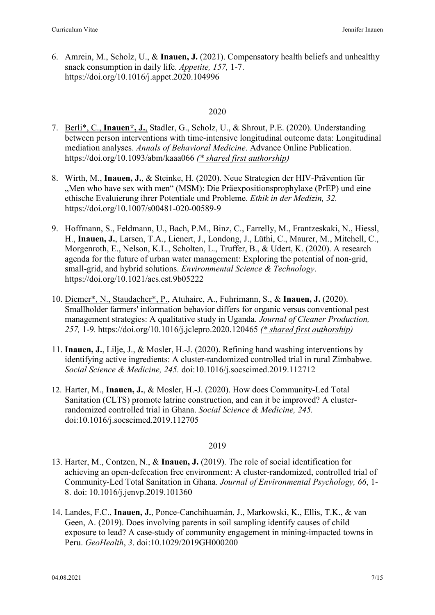6. Amrein, M., Scholz, U., & **Inauen, J.** (2021). Compensatory health beliefs and unhealthy snack consumption in daily life. *Appetite, 157,* 1-7. https://doi.org/10.1016/j.appet.2020.104996

# 2020

- 7. Berli\*, C., **Inauen\*, J.**, Stadler, G., Scholz, U., & Shrout, P.E. (2020). Understanding between person interventions with time-intensive longitudinal outcome data: Longitudinal mediation analyses. *Annals of Behavioral Medicine*. Advance Online Publication. https://doi.org/10.1093/abm/kaaa066 *(\* shared first authorship)*
- 8. Wirth, M., **Inauen, J.**, & Steinke, H. (2020). Neue Strategien der HIV-Prävention für "Men who have sex with men" (MSM): Die Präexpositionsprophylaxe (PrEP) und eine ethische Evaluierung ihrer Potentiale und Probleme. *Ethik in der Medizin, 32.* https://doi.org/10.1007/s00481-020-00589-9
- 9. Hoffmann, S., Feldmann, U., Bach, P.M., Binz, C., Farrelly, M., Frantzeskaki, N., Hiessl, H., **Inauen, J.**, Larsen, T.A., Lienert, J., Londong, J., Lüthi, C., Maurer, M., Mitchell, C., Morgenroth, E., Nelson, K.L., Scholten, L., Truffer, B., & Udert, K. (2020). A research agenda for the future of urban water management: Exploring the potential of non-grid, small-grid, and hybrid solutions. *Environmental Science & Technology*. https://doi.org/10.1021/acs.est.9b05222
- 10. Diemer\*, N., Staudacher\*, P., Atuhaire, A., Fuhrimann, S., & **Inauen, J.** (2020). Smallholder farmers' information behavior differs for organic versus conventional pest management strategies: A qualitative study in Uganda. *Journal of Cleaner Production, 257,* 1-9*.* https://doi.org/10.1016/j.jclepro.2020.120465 *(\* shared first authorship)*
- 11. **Inauen, J.**, Lilje, J., & Mosler, H.-J. (2020). Refining hand washing interventions by identifying active ingredients: A cluster-randomized controlled trial in rural Zimbabwe. *Social Science & Medicine, 245.* doi:10.1016/j.socscimed.2019.112712
- 12. Harter, M., **Inauen, J.**, & Mosler, H.-J. (2020). How does Community-Led Total Sanitation (CLTS) promote latrine construction, and can it be improved? A clusterrandomized controlled trial in Ghana. *Social Science & Medicine, 245.* doi:10.1016/j.socscimed.2019.112705

# 2019

- 13. Harter, M., Contzen, N., & **Inauen, J.** (2019). The role of social identification for achieving an open-defecation free environment: A cluster-randomized, controlled trial of Community-Led Total Sanitation in Ghana. *Journal of Environmental Psychology, 66*, 1- 8. doi: 10.1016/j.jenvp.2019.101360
- 14. Landes, F.C., **Inauen, J.**, Ponce-Canchihuamán, J., Markowski, K., Ellis, T.K., & van Geen, A. (2019). Does involving parents in soil sampling identify causes of child exposure to lead? A case-study of community engagement in mining-impacted towns in Peru. *GeoHealth*, *3*. doi:10.1029/2019GH000200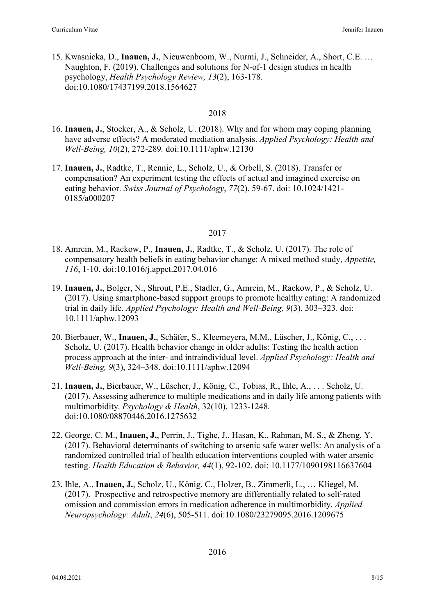15. Kwasnicka, D., **Inauen, J.**, Nieuwenboom, W., Nurmi, J., Schneider, A., Short, C.E. … Naughton, F. (2019). Challenges and solutions for N-of-1 design studies in health psychology, *Health Psychology Review, 13*(2), 163-178. doi:10.1080/17437199.2018.1564627

# 2018

- 16. **Inauen, J.**, Stocker, A., & Scholz, U. (2018). Why and for whom may coping planning have adverse effects? A moderated mediation analysis. *Applied Psychology: Health and Well-Being, 10*(2), 272-289*.* doi:10.1111/aphw.12130
- 17. **Inauen, J.**, Radtke, T., Rennie, L., Scholz, U., & Orbell, S. (2018). Transfer or compensation? An experiment testing the effects of actual and imagined exercise on eating behavior. *Swiss Journal of Psychology*, *77*(2). 59-67. doi: 10.1024/1421- 0185/a000207

# 2017

- 18. Amrein, M., Rackow, P., **Inauen, J.**, Radtke, T., & Scholz, U. (2017). The role of compensatory health beliefs in eating behavior change: A mixed method study, *Appetite, 116*, 1-10. doi:10.1016/j.appet.2017.04.016
- 19. **Inauen, J.**, Bolger, N., Shrout, P.E., Stadler, G., Amrein, M., Rackow, P., & Scholz, U. (2017). Using smartphone-based support groups to promote healthy eating: A randomized trial in daily life. *Applied Psychology: Health and Well-Being, 9*(3), 303–323. doi: 10.1111/aphw.12093
- 20. Bierbauer, W., **Inauen, J.**, Schäfer, S., Kleemeyera, M.M., Lüscher, J., König, C., . . . Scholz, U. (2017). Health behavior change in older adults: Testing the health action process approach at the inter- and intraindividual level. *Applied Psychology: Health and Well-Being, 9*(3), 324–348. doi:10.1111/aphw.12094
- 21. **Inauen, J.**, Bierbauer, W., Lüscher, J., König, C., Tobias, R., Ihle, A., . . . Scholz, U. (2017). Assessing adherence to multiple medications and in daily life among patients with multimorbidity. *Psychology & Health*, 32(10), 1233-1248*.*  doi:10.1080/08870446.2016.1275632
- 22. George, C. M., **Inauen, J.**, Perrin, J., Tighe, J., Hasan, K., Rahman, M. S., & Zheng, Y. (2017). Behavioral determinants of switching to arsenic safe water wells: An analysis of a randomized controlled trial of health education interventions coupled with water arsenic testing. *Health Education & Behavior, 44*(1), 92-102. doi: 10.1177/1090198116637604
- 23. Ihle, A., **Inauen, J.**, Scholz, U., König, C., Holzer, B., Zimmerli, L., … Kliegel, M. (2017). Prospective and retrospective memory are differentially related to self-rated omission and commission errors in medication adherence in multimorbidity. *Applied Neuropsychology: Adult*, *24*(6), 505-511. doi:10.1080/23279095.2016.1209675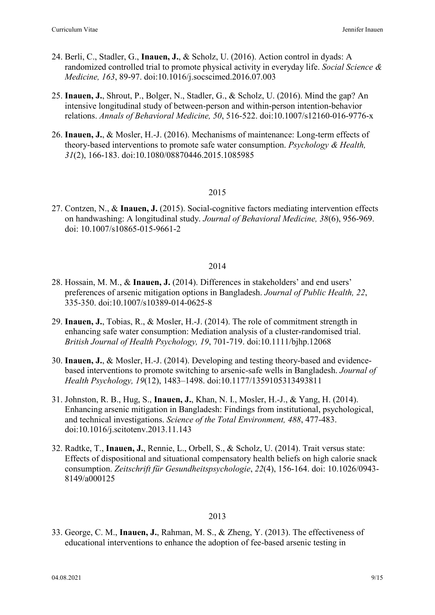- 24. Berli, C., Stadler, G., **Inauen, J.**, & Scholz, U. (2016). Action control in dyads: A randomized controlled trial to promote physical activity in everyday life. *Social Science & Medicine, 163*, 89-97. doi:10.1016/j.socscimed.2016.07.003
- 25. **Inauen, J.**, Shrout, P., Bolger, N., Stadler, G., & Scholz, U. (2016). Mind the gap? An intensive longitudinal study of between-person and within-person intention-behavior relations. *Annals of Behavioral Medicine, 50*, 516-522. doi:10.1007/s12160-016-9776-x
- 26. **Inauen, J.**, & Mosler, H.-J. (2016). Mechanisms of maintenance: Long-term effects of theory-based interventions to promote safe water consumption. *Psychology & Health, 31*(2), 166-183. doi:10.1080/08870446.2015.1085985

#### 2015

27. Contzen, N., & **Inauen, J.** (2015). Social-cognitive factors mediating intervention effects on handwashing: A longitudinal study. *Journal of Behavioral Medicine, 38*(6), 956-969. doi: 10.1007/s10865-015-9661-2

#### 2014

- 28. Hossain, M. M., & **Inauen, J.** (2014). Differences in stakeholders' and end users' preferences of arsenic mitigation options in Bangladesh. *Journal of Public Health, 22*, 335-350. doi:10.1007/s10389-014-0625-8
- 29. **Inauen, J.**, Tobias, R., & Mosler, H.-J. (2014). The role of commitment strength in enhancing safe water consumption: Mediation analysis of a cluster-randomised trial. *British Journal of Health Psychology, 19*, 701-719. doi:10.1111/bjhp.12068
- 30. **Inauen, J.**, & Mosler, H.-J. (2014). Developing and testing theory-based and evidencebased interventions to promote switching to arsenic-safe wells in Bangladesh. *Journal of Health Psychology, 19*(12), 1483–1498. doi:10.1177/1359105313493811
- 31. Johnston, R. B., Hug, S., **Inauen, J.**, Khan, N. I., Mosler, H.-J., & Yang, H. (2014). Enhancing arsenic mitigation in Bangladesh: Findings from institutional, psychological, and technical investigations. *Science of the Total Environment, 488*, 477-483. doi:10.1016/j.scitotenv.2013.11.143
- 32. Radtke, T., **Inauen, J.**, Rennie, L., Orbell, S., & Scholz, U. (2014). Trait versus state: Effects of dispositional and situational compensatory health beliefs on high calorie snack consumption. *Zeitschrift für Gesundheitspsychologie*, *22*(4), 156-164. doi: 10.1026/0943- 8149/a000125

#### 2013

33. George, C. M., **Inauen, J.**, Rahman, M. S., & Zheng, Y. (2013). The effectiveness of educational interventions to enhance the adoption of fee-based arsenic testing in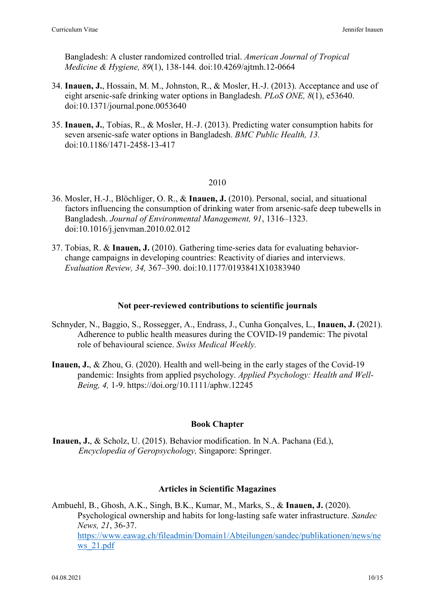Bangladesh: A cluster randomized controlled trial. *American Journal of Tropical Medicine & Hygiene, 89*(1), 138-144*.* doi:10.4269/ajtmh.12-0664

- 34. **Inauen, J.**, Hossain, M. M., Johnston, R., & Mosler, H.-J. (2013). Acceptance and use of eight arsenic-safe drinking water options in Bangladesh. *PLoS ONE, 8*(1), e53640. doi:10.1371/journal.pone.0053640
- 35. **Inauen, J.**, Tobias, R., & Mosler, H.-J. (2013). Predicting water consumption habits for seven arsenic-safe water options in Bangladesh. *BMC Public Health, 13.*  doi:10.1186/1471-2458-13-417

#### 2010

- 36. Mosler, H.-J., Blöchliger, O. R., & **Inauen, J.** (2010). Personal, social, and situational factors influencing the consumption of drinking water from arsenic-safe deep tubewells in Bangladesh. *Journal of Environmental Management, 91*, 1316–1323. doi:10.1016/j.jenvman.2010.02.012
- 37. Tobias, R. & **Inauen, J.** (2010). Gathering time-series data for evaluating behaviorchange campaigns in developing countries: Reactivity of diaries and interviews. *Evaluation Review, 34,* 367–390. doi:10.1177/0193841X10383940

#### **Not peer-reviewed contributions to scientific journals**

- Schnyder, N., Baggio, S., Rossegger, A., Endrass, J., Cunha Gonçalves, L., **Inauen, J.** (2021). Adherence to public health measures during the COVID-19 pandemic: The pivotal role of behavioural science. *Swiss Medical Weekly.*
- **Inauen, J.**, & Zhou, G. (2020). Health and well-being in the early stages of the Covid-19 pandemic: Insights from applied psychology. *Applied Psychology: Health and Well-Being, 4,* 1-9. https://doi.org/10.1111/aphw.12245

### **Book Chapter**

**Inauen, J.**, & Scholz, U. (2015). Behavior modification. In N.A. Pachana (Ed.), *Encyclopedia of Geropsychology,* Singapore: Springer.

### **Articles in Scientific Magazines**

Ambuehl, B., Ghosh, A.K., Singh, B.K., Kumar, M., Marks, S., & **Inauen, J.** (2020). Psychological ownership and habits for long-lasting safe water infrastructure. *Sandec News, 21*, 36-37. [https://www.eawag.ch/fileadmin/Domain1/Abteilungen/sandec/publikationen/news/ne](https://www.eawag.ch/fileadmin/Domain1/Abteilungen/sandec/publikationen/news/news_21.pdf) [ws\\_21.pdf](https://www.eawag.ch/fileadmin/Domain1/Abteilungen/sandec/publikationen/news/news_21.pdf)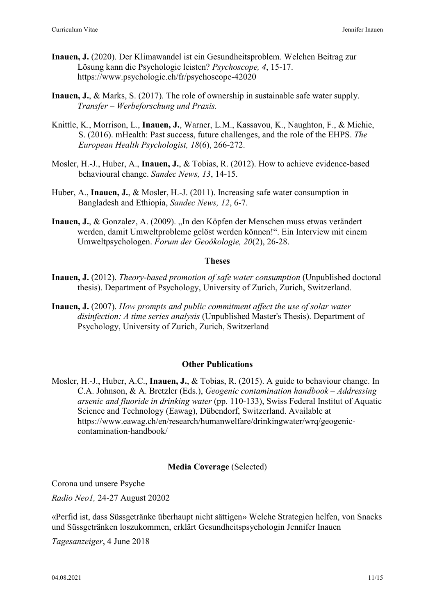- **Inauen, J.** (2020). Der Klimawandel ist ein Gesundheitsproblem. Welchen Beitrag zur Lösung kann die Psychologie leisten? *Psychoscope, 4*, 15-17. https://www.psychologie.ch/fr/psychoscope-42020
- **Inauen, J.**, & Marks, S. (2017). The role of ownership in sustainable safe water supply. *Transfer – Werbeforschung und Praxis.*
- Knittle, K., Morrison, L., **Inauen, J.**, Warner, L.M., Kassavou, K., Naughton, F., & Michie, S. (2016). mHealth: Past success, future challenges, and the role of the EHPS. *The European Health Psychologist, 18*(6), 266-272.
- Mosler, H.-J., Huber, A., **Inauen, J.**, & Tobias, R. (2012). How to achieve evidence-based behavioural change. *Sandec News, 13*, 14-15.
- Huber, A., **Inauen, J.**, & Mosler, H.-J. (2011). Increasing safe water consumption in Bangladesh and Ethiopia, *Sandec News, 12*, 6-7.
- Inauen, J., & Gonzalez, A. (2009). "In den Köpfen der Menschen muss etwas verändert werden, damit Umweltprobleme gelöst werden können!". Ein Interview mit einem Umweltpsychologen. *Forum der Geoökologie, 20*(2), 26-28.

#### **Theses**

- **Inauen, J.** (2012). *Theory-based promotion of safe water consumption* (Unpublished doctoral thesis). Department of Psychology, University of Zurich, Zurich, Switzerland.
- **Inauen, J.** (2007). *How prompts and public commitment affect the use of solar water disinfection: A time series analysis* (Unpublished Master's Thesis). Department of Psychology, University of Zurich, Zurich, Switzerland

#### **Other Publications**

Mosler, H.-J., Huber, A.C., **Inauen, J.**, & Tobias, R. (2015). A guide to behaviour change. In C.A. Johnson, & A. Bretzler (Eds.), *Geogenic contamination handbook – Addressing arsenic and fluoride in drinking water* (pp. 110-133), Swiss Federal Institut of Aquatic Science and Technology (Eawag), Dübendorf, Switzerland. Available at https://www.eawag.ch/en/research/humanwelfare/drinkingwater/wrq/geogeniccontamination-handbook/

### **Media Coverage** (Selected)

Corona und unsere Psyche

*Radio Neo1,* 24-27 August 20202

«Perfid ist, dass Süssgetränke überhaupt nicht sättigen» Welche Strategien helfen, von Snacks und Süssgetränken loszukommen, erklärt Gesundheitspsychologin Jennifer Inauen

*Tagesanzeiger*, 4 June 2018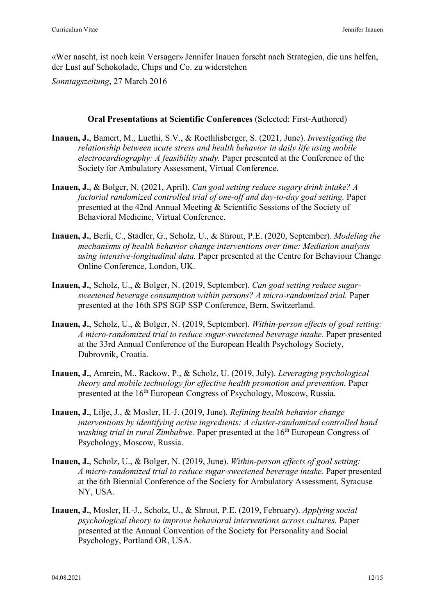«Wer nascht, ist noch kein Versager» Jennifer Inauen forscht nach Strategien, die uns helfen, der Lust auf Schokolade, Chips und Co. zu widerstehen

*Sonntagszeitung*, 27 March 2016

**Oral Presentations at Scientific Conferences** (Selected: First-Authored)

- **Inauen, J.**, Bamert, M., Luethi, S.V., & Roethlisberger, S. (2021, June). *Investigating the relationship between acute stress and health behavior in daily life using mobile electrocardiography: A feasibility study.* Paper presented at the Conference of the Society for Ambulatory Assessment, Virtual Conference.
- **Inauen, J.**, & Bolger, N. (2021, April). *Can goal setting reduce sugary drink intake? A factorial randomized controlled trial of one-off and day-to-day goal setting.* Paper presented at the 42nd Annual Meeting & Scientific Sessions of the Society of Behavioral Medicine, Virtual Conference.
- **Inauen, J.**, Berli, C., Stadler, G., Scholz, U., & Shrout, P.E. (2020, September). *Modeling the mechanisms of health behavior change interventions over time: Mediation analysis using intensive-longitudinal data.* Paper presented at the Centre for Behaviour Change Online Conference, London, UK.
- **Inauen, J.**, Scholz, U., & Bolger, N. (2019, September). *Can goal setting reduce sugarsweetened beverage consumption within persons? A micro-randomized trial.* Paper presented at the 16th SPS SGP SSP Conference, Bern, Switzerland.
- **Inauen, J.**, Scholz, U., & Bolger, N. (2019, September). *Within-person effects of goal setting: A micro-randomized trial to reduce sugar-sweetened beverage intake.* Paper presented at the 33rd Annual Conference of the European Health Psychology Society, Dubrovnik, Croatia.
- **Inauen, J.**, Amrein, M., Rackow, P., & Scholz, U. (2019, July). *Leveraging psychological theory and mobile technology for effective health promotion and prevention.* Paper presented at the 16<sup>th</sup> European Congress of Psychology, Moscow, Russia.
- **Inauen, J.**, Lilje, J., & Mosler, H.-J. (2019, June). *Refining health behavior change interventions by identifying active ingredients: A cluster-randomized controlled hand washing trial in rural Zimbabwe.* Paper presented at the 16<sup>th</sup> European Congress of Psychology, Moscow, Russia.
- **Inauen, J.**, Scholz, U., & Bolger, N. (2019, June). *Within-person effects of goal setting: A micro-randomized trial to reduce sugar-sweetened beverage intake.* Paper presented at the 6th Biennial Conference of the Society for Ambulatory Assessment, Syracuse NY, USA.
- **Inauen, J.**, Mosler, H.-J., Scholz, U., & Shrout, P.E. (2019, February). *Applying social psychological theory to improve behavioral interventions across cultures.* Paper presented at the Annual Convention of the Society for Personality and Social Psychology, Portland OR, USA.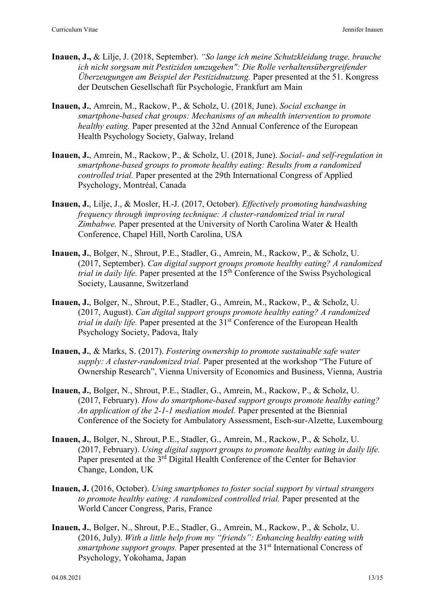- **Inauen, J.,** & Lilje, J. (2018, September). *"So lange ich meine Schutzkleidung trage, brauche ich nicht sorgsam mit Pestiziden umzugehen": Die Rolle verhaltensübergreifender Überzeugungen am Beispiel der Pestizidnutzung.* Paper presented at the 51. Kongress der Deutschen Gesellschaft für Psychologie, Frankfurt am Main
- **Inauen, J.**, Amrein, M., Rackow, P., & Scholz, U. (2018, June). *Social exchange in smartphone-based chat groups: Mechanisms of an mhealth intervention to promote healthy eating.* Paper presented at the 32nd Annual Conference of the European Health Psychology Society, Galway, Ireland
- **Inauen, J.**, Amrein, M., Rackow, P., & Scholz, U. (2018, June). *Social- and self-regulation in smartphone-based groups to promote healthy eating: Results from a randomized controlled trial.* Paper presented at the 29th International Congress of Applied Psychology, Montréal, Canada
- **Inauen, J.**, Lilje, J., & Mosler, H.-J. (2017, October). *Effectively promoting handwashing frequency through improving technique: A cluster-randomized trial in rural Zimbabwe.* Paper presented at the University of North Carolina Water & Health Conference, Chapel Hill, North Carolina, USA
- **Inauen, J.**, Bolger, N., Shrout, P.E., Stadler, G., Amrein, M., Rackow, P., & Scholz, U. (2017, September). *Can digital support groups promote healthy eating? A randomized trial in daily life.* Paper presented at the 15<sup>th</sup> Conference of the Swiss Psychological Society, Lausanne, Switzerland
- **Inauen, J.**, Bolger, N., Shrout, P.E., Stadler, G., Amrein, M., Rackow, P., & Scholz, U. (2017, August). *Can digital support groups promote healthy eating? A randomized trial in daily life.* Paper presented at the 31<sup>st</sup> Conference of the European Health Psychology Society, Padova, Italy
- **Inauen, J.**, & Marks, S. (2017). *Fostering ownership to promote sustainable safe water supply: A cluster-randomized trial.* Paper presented at the workshop "The Future of Ownership Research", Vienna University of Economics and Business, Vienna, Austria
- **Inauen, J.**, Bolger, N., Shrout, P.E., Stadler, G., Amrein, M., Rackow, P., & Scholz, U. (2017, February). *How do smartphone-based support groups promote healthy eating? An application of the 2-1-1 mediation model.* Paper presented at the Biennial Conference of the Society for Ambulatory Assessment, Esch-sur-Alzette, Luxembourg
- **Inauen, J.**, Bolger, N., Shrout, P.E., Stadler, G., Amrein, M., Rackow, P., & Scholz, U. (2017, February). *Using digital support groups to promote healthy eating in daily life.* Paper presented at the 3<sup>rd</sup> Digital Health Conference of the Center for Behavior Change, London, UK
- **Inauen, J.** (2016, October). *Using smartphones to foster social support by virtual strangers to promote healthy eating: A randomized controlled trial.* Paper presented at the World Cancer Congress, Paris, France
- **Inauen, J.**, Bolger, N., Shrout, P.E., Stadler, G., Amrein, M., Rackow, P., & Scholz, U. (2016, July). *With a little help from my "friends": Enhancing healthy eating with smartphone support groups.* Paper presented at the 31<sup>st</sup> International Concress of Psychology, Yokohama, Japan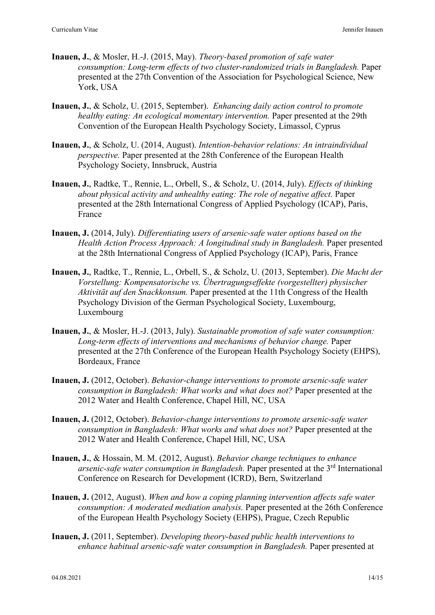- **Inauen, J.**, & Mosler, H.-J. (2015, May). *Theory-based promotion of safe water consumption: Long-term effects of two cluster-randomized trials in Bangladesh. Paper* presented at the 27th Convention of the Association for Psychological Science, New York, USA
- **Inauen, J.**, & Scholz, U. (2015, September). *Enhancing daily action control to promote healthy eating: An ecological momentary intervention.* Paper presented at the 29th Convention of the European Health Psychology Society, Limassol, Cyprus
- **Inauen, J.**, & Scholz, U. (2014, August). *Intention-behavior relations: An intraindividual perspective.* Paper presented at the 28th Conference of the European Health Psychology Society, Innsbruck, Austria
- **Inauen, J.**, Radtke, T., Rennie, L., Orbell, S., & Scholz, U. (2014, July). *Effects of thinking about physical activity and unhealthy eating: The role of negative affect.* Paper presented at the 28th International Congress of Applied Psychology (ICAP), Paris, France
- **Inauen, J.** (2014, July). *Differentiating users of arsenic-safe water options based on the Health Action Process Approach: A longitudinal study in Bangladesh.* Paper presented at the 28th International Congress of Applied Psychology (ICAP), Paris, France
- **Inauen, J.**, Radtke, T., Rennie, L., Orbell, S., & Scholz, U. (2013, September). *Die Macht der Vorstellung: Kompensatorische vs. Übertragungseffekte (vorgestellter) physischer Aktivität auf den Snackkonsum.* Paper presented at the 11th Congress of the Health Psychology Division of the German Psychological Society, Luxembourg, Luxembourg
- **Inauen, J.**, & Mosler, H.-J. (2013, July). *Sustainable promotion of safe water consumption: Long-term effects of interventions and mechanisms of behavior change.* Paper presented at the 27th Conference of the European Health Psychology Society (EHPS), Bordeaux, France
- **Inauen, J.** (2012, October). *Behavior-change interventions to promote arsenic-safe water consumption in Bangladesh: What works and what does not?* Paper presented at the 2012 Water and Health Conference, Chapel Hill, NC, USA
- **Inauen, J.** (2012, October). *Behavior-change interventions to promote arsenic-safe water consumption in Bangladesh: What works and what does not?* Paper presented at the 2012 Water and Health Conference, Chapel Hill, NC, USA
- **Inauen, J.**, & Hossain, M. M. (2012, August). *Behavior change techniques to enhance arsenic-safe water consumption in Bangladesh.* Paper presented at the 3rd International Conference on Research for Development (ICRD), Bern, Switzerland
- **Inauen, J.** (2012, August). *When and how a coping planning intervention affects safe water consumption: A moderated mediation analysis.* Paper presented at the 26th Conference of the European Health Psychology Society (EHPS), Prague, Czech Republic
- **Inauen, J.** (2011, September). *Developing theory-based public health interventions to enhance habitual arsenic-safe water consumption in Bangladesh.* Paper presented at